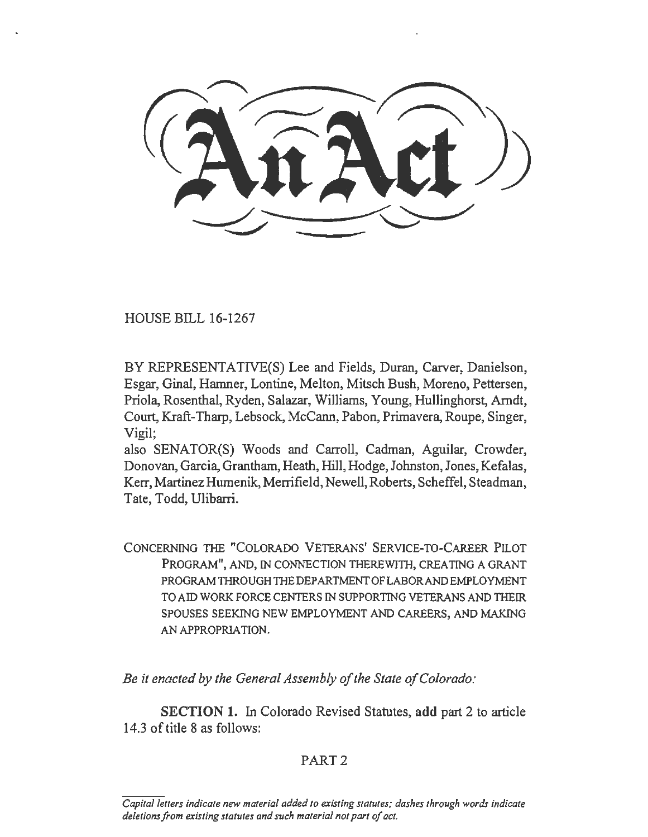HOUSE BILL 16-1267

BY REPRESENTATIVE(S) Lee and Fields, Duran, Carver, Danielson, Esgar, Ginal, Hamner, Lontine, Melton, Mitsch Bush, Moreno, Pettersen, Priola, Rosenthal, Ryden, Salazar, Williams, Young, Hullinghorst, Arndt, Court, Kraft-Tharp, Lebsock, McCann, Pabon, Primavera, Roupe, Singer, Vigil;

also SENATOR(S) Woods and Carroll, Cadman, Aguilar, Crowder, Donovan, Garcia, Grantham, Heath, Hill, Hodge, Johnston, Jones, Kefalas, Kerr, Martinez Humenik, Merrifield, Newell, Roberts, Scheffel, Steadman, Tate, Todd, Ulibarri.

CONCERNING THE "COLORADO VETERANS' SERVICE-TO-CAREER PILOT PROGRAM", AND, IN CONNECTION THEREWITH, CREATING A GRANT PROGRAM THROUGH THE DEPARTMENT OF LABOR AND EMPLOYMENT TO AID WORK FORCE CENTERS IN SUPPORTING VETERANS AND THEIR SPOUSES SEEKING NEW EMPLOYMENT AND CAREERS, AND MAKING AN APPROPRIATION.

*Be it enacted by the General Assembly of the State of Colorado:* 

SECTION 1. In Colorado Revised Statutes, add part 2 to article 14.3 of title 8 as follows:

## PART<sub>2</sub>

*Capital letters indicate new material added to existing statutes; dashes through words indicate deletions from existing slalules and such material not part of act.*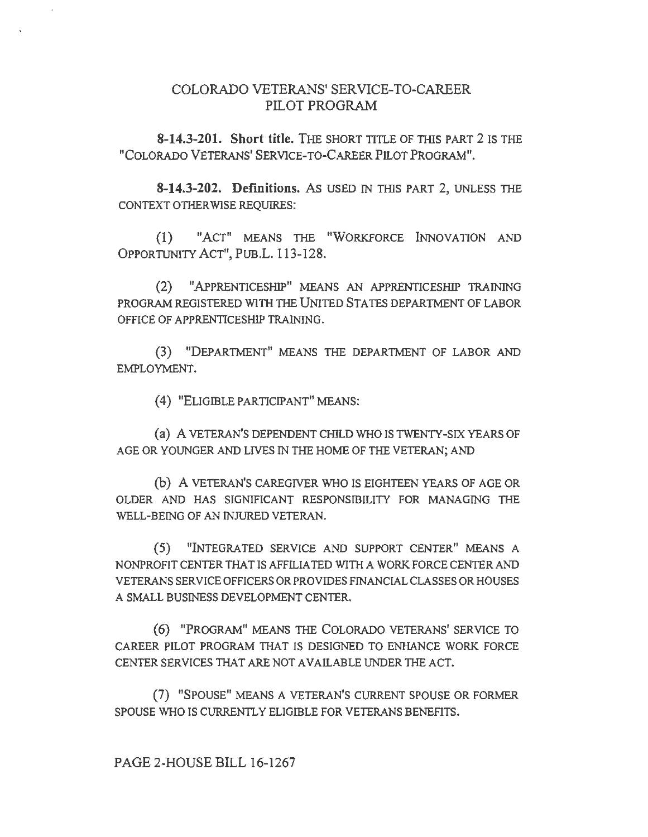## COLORADO VETERANS' SERVICE-TO-CAREER PILOT PROGRAM

**8-14.3-201. Short title.** THE SHORT TITLE OF THIS PART 2 IS THE "COLORADO VETERANS' SERVICE-TO-CAREER PILOT PROGRAM".

**8-14.3-202. Definitions.** As USED IN THlS PART 2, UNLESS THE CONTEXT OTHERWISE REQUIRES:

(I) "ACT" MEANS THE "WORKFORCE INNOVATION AND OPPORTUNITY ACT", PUB.L. 113-128.

(2) "APPRENTICESHIP" MEANS AN APPRENTICESHIP TRAINING PROGRAM REGISTERED WITH THE UNITED STA TES DEPARTMENT OF LABOR OFFICE OF APPRENTICESHIP TRAINING.

(3) "DEPARTMENT" MEANS THE DEPARTMENT OF LABOR AND EMPLOYMENT.

(4) "ELIGIBLE PARTICIPANT" MEANS:

(a) A VETERAN'S DEPENDENT CHILD WHO IS TWENTY-SIX YEARS OF AGE OR YOUNGER AND LIVES IN THE HOME OF THE VETERAN; AND

(b) A VETERAN'S CAREGIVER WHO IS EIGHTEEN YEARS OF AGE OR OLDER AND HAS SIGNIFICANT RESPONSIBILITY FOR MANAGING THE WELL-BEING OF AN INJURED VETERAN.

(5) "INTEGRATED SERVICE AND SUPPORT CENTER" MEANS A NONPROFIT CENTER THAT IS AFFILIATED WITH A WORK FORCE CENTER AND VETERANS SERVICE OFFICERS OR PROVIDES FINANCIAL CLASSES OR HOUSES A SMALL BUSINESS DEVELOPMENT CENTER.

(6) "PROGRAM" MEANS THE COLORADO VETERANS' SERVICE TO CAREER PILOT PROGRAM THAT IS DESIGNED TO ENHANCE WORK FORCE CENTER SERVICES THAT ARE NOT AVAILABLE UNDER THE ACT.

(7) "SPOUSE" MEANS A VETERAN'S CURRENT SPOUSE OR FORMER SPOUSE WHO IS CURRENTLY ELIGIBLE FOR VETERANS BENEFITS.

PAGE 2-HOUSE BILL 16-1267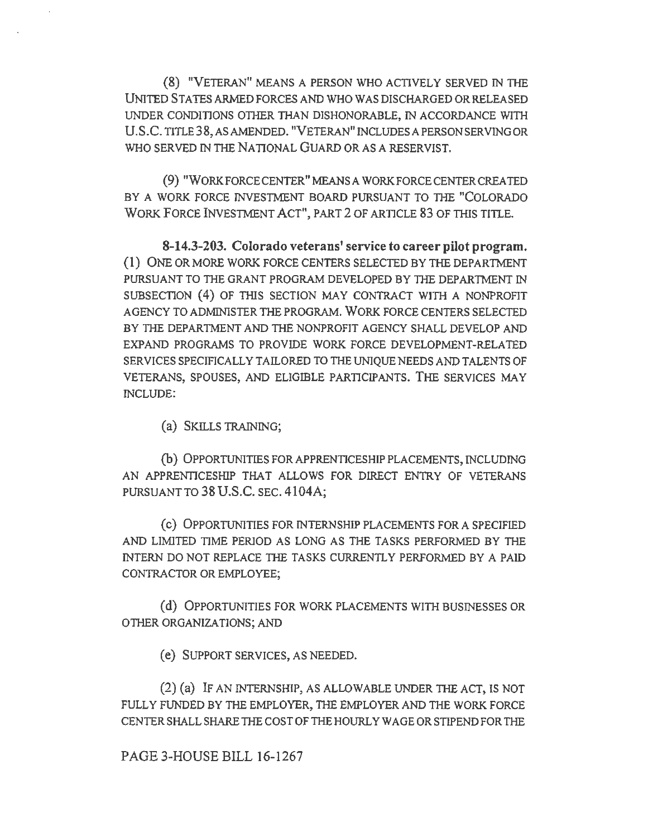(8) "VETERAN" MEANS A PERSON WHO ACTIVELY SERVED IN THE UNITED STA TES ARMED FORCES AND WHO WAS DISCHARGED OR RELEASED UNDER CONDITIONS OTIIER THAN DISHONORABLE, IN ACCORDANCE WITH U.S.C. TilLE38,ASAMENDED. "VETERAN" INCLUDESAPERSONSERVINGOR WHO SERVED IN THE NATIONAL GUARD OR AS A RESERVIST.

(9) "WORKFORCE CENTER" MEANS A WORKFORCE CENTER CREA TED BY A WORK FORCE INVESTMENT BOARD PURSUANT TO THE "COLORADO WORK FORCE INVESTMENT ACT", PART 2 OF ARTICLE 83 OF THIS TITLE.

8-14.3-203. Colorado veterans' service to career pilot program. (l) ONE OR MORE WORK FORCE CENTERS SELECTED BY THE DEPARTMENT PURSUANT TO TIIE GRANT PROGRAM DEVELOPED BY THE DEPARTMENT IN SUBSECTION (4) OF THIS SECTION MAY CONTRACT WITH A NONPROFIT AGENCY TO ADMINISTER THE PROGRAM. WORK FORCE CENTERS SELECTED BY THE DEPARTMENT AND THE NONPROFIT AGENCY SHALL DEVELOP AND EXPAND PROGRAMS TO PROVIDE WORK FORCE DEVELOPMENT-RELATED SERVICES SPECIFICALLY TAILORED TO THE UNIQUE NEEDS AND TALENTS OF VETERANS, SPOUSES, AND ELIGIBLE PARTICIPANTS. THE SERVICES MAY INCLUDE:

(a) SKILLS TRAINING;

(b) OPPORTUNITIES FORAPPRENTICESHIP PLACEMENTS, INCLUDING AN APPRENTICESHIP THAT ALLOWS FOR DIRECT ENTRY OF VETERANS PURSUANT TO 38 U.S.C. SEC. 4104A;

( c) OPPORTUNITIES FOR INTERNSHIP PLACEMENTS FOR A SPECIFIED AND LIMITED TIME PERIOD AS LONG AS THE TASKS PERFORMED BY THE INTERN DO NOT REPLACE THE TASKS CURRENTLY PERFORMED BY A PAID CONTRACTOR OR EMPLOYEE;

(d) OPPORTUNITIES FOR WORK PLACEMENTS WITH BUSINESSES OR OTHER ORGANIZATIONS; AND

( e) SUPPORT SERVICES, AS NEEDED.

(2) (a) lF AN INTERNSHIP, AS ALLOWABLE UNDER THE ACT, IS NOT FULLY FUNDED BY THE EMPLOYER, THE EMPLOYER AND THE WORK FORCE CENTER SHALL SHARE THE COST OF THE HOURLY WAGE OR STIPEND FOR THE

PAGE 3-HOUSE BILL 16-1267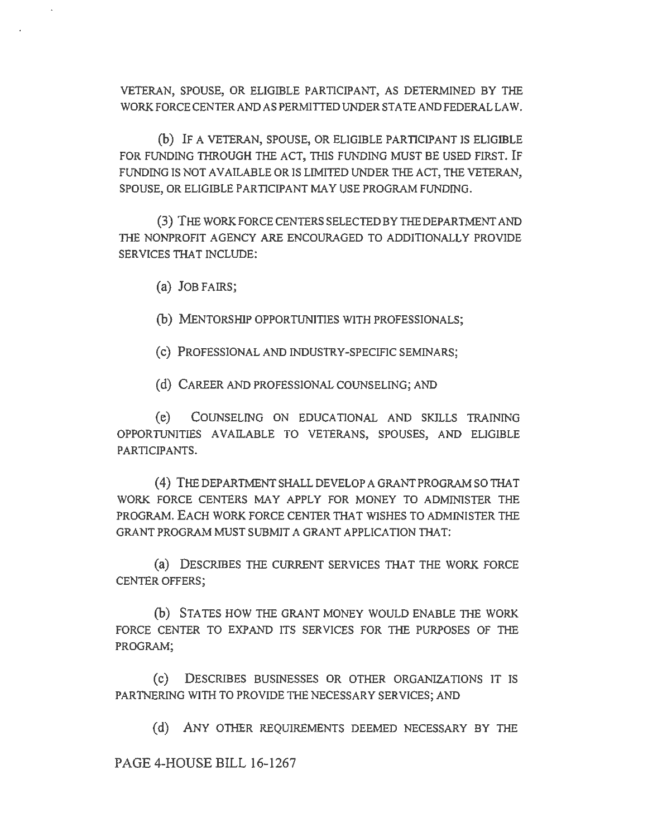VETERAN, SPOUSE, OR ELIGIBLE PARTICIPANT, AS DETERMINED BY THE WORK FORCE CENTER AND AS PERMIITED UNDER STA TE AND FEDERAL LAW.

(b) IF A VETERAN, SPOUSE, OR ELIGIBLE PARTICIPANT IS ELIGIBLE FOR FUNDING THROUGH THE ACT, THIS FUNDING MUST BE USED FIRST. IF FUNDING IS NOT AVAILABLE OR IS LIMITED UNDER THE ACT, THE VETERAN, SPOUSE, OR ELIGIBLE PARTICIPANT MAY USE PROGRAM FUNDING.

(3) THE WORK FORCE CENTERS SELECTED BY THE DEPARTMENT AND THE NONPROFIT AGENCY ARE ENCOURAGED TO ADDITIONALLY PROVIDE SERVICES THAT INCLUDE:

(a) JOB FAIRS;

(b) MENTORSHIP OPPORTUNITIES WITH PROFESSIONALS;

( c) PROFESSIONAL AND INDUSTRY-SPECIFIC SEMINARS;

(d) CAREER AND PROFESSIONAL COUNSELING; AND

(e) COUNSELING ON EDUCATIONAL AND SKILLS TRAINING OPPORTUNITIES AVAILABLE TO VETERANS, SPOUSES, AND ELIGIBLE PARTICIPANTS.

(4) THE DEPARTMENT SHALL DEVELOP A GRANT PROGRAM SO THAT WORK FORCE CENTERS MAY APPLY FOR MONEY TO ADMINISTER THE PROGRAM. EACH WORK FORCE CENTER THAT WISHES TO ADMINISTER THE GRANT PROGRAM MUST SUBMJT A GRANT APPLICATION THAT:

(a) DESCRIBES THE CURRENT SERVICES THAT THE WORK FORCE CENTER OFFERS;

(b) STATES HOW THE GRANT MONEY WOULD ENABLE THE WORK FORCE CENTER TO EXPAND ITS SERVICES FOR THE PURPOSES OF THE PROGRAM;

( c) DESCRIBES BUSINESSES OR OTHER ORGANIZATIONS IT IS PARTNERING WITH TO PROVIDE THE NECESSARY SERVICES; AND

(d) ANY OTHER REQUIREMENTS DEEMED NECESSARY BY THE

PAGE 4-HOUSE BILL 16-1267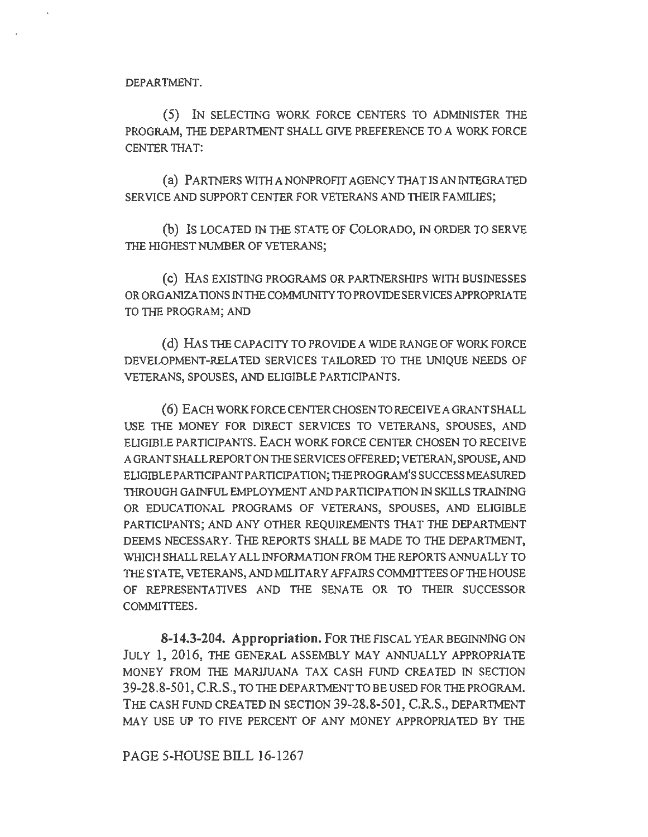DEPARTMENT.

( 5) IN SELECTING WORK FORCE CENTERS TO ADMINISTER THE PROGRAM, THE DEPARTMENT SHALL GIVE PREFERENCE TO A WORK FORCE CENTER TIIA T:

(a) PARTNERS WITH A NONPROFIT AGENCY THAT IS AN INTEGRATED SERVICE AND SUPPORT CENTER FOR VETERANS AND THEIR FAMILIES;

(b) Is LOCATED IN THE STATE OF COLORADO, IN ORDER TO SERVE THE HIGHEST NUMBER OF VETERANS;

(c) HAS EXISTING PROGRAMS OR PARTNERSHIPS WITH BUSINESSES OR ORGANIZATIONS IN THE COMMUNITY TO PROVIDE SERVICES APPROPRIATE TO THE PROGRAM; AND

(d) HAS THE CAPACITY TO PROVIDE A WIDE RANGE OF WORK FORCE DEVELOPMENT-RELATED SERVICES TAILORED TO TIIE UNIQUE NEEDS OF VETERANS, SPOUSES, AND ELIGIBLE PARTICIPANTS.

( 6) EACH WORK FORCE CENTER CHOSEN TO RECEIVE A GRANT SHALL USE THE MONEY FOR DIRECT SERVICES TO VETERANS, SPOUSES, AND ELIGIBLE PARTICIPANTS. EACH WORK FORCE CENTER CHOSEN TO RECEIVE A GRANT SHALL REPORT ON THE SERVICES OFFERED; VETERAN, SPOUSE, AND ELIGIBLEPARTICIPANTPARTICIPATION;THEPROGRAM'SSUCCESSMEASURED THROUGH GAINFUL EMPLOYMENT AND PARTICIPATION IN SKILLS TRAINING OR EDUCATIONAL PROGRAMS OF VETERANS, SPOUSES, AND ELIGIBLE PARTICIPANTS; AND ANY OTHER REQUIREMENTS THAT THE DEPARTMENT DEEMS NECESSARY. THE REPORTS SHALL BE MADE TO THE DEPARTMENT, WHICH SHALL RELAY ALL INFORMATION FROM THE REPORTS ANNUALLY TO THE STATE, VETERANS, AND MILITARY AFFAIRS COMMITTEES OF THE HOUSE OF REPRESENTATIVES AND THE SENATE OR TO THEIR SUCCESSOR COMMITTEES.

**8-14.3-204. Appropriation.** FOR THE FISCAL YEAR BEGINNING ON JULY l, 2016, THE GENERAL ASSEMBLY MAY ANNUALLY APPROPRIATE MONEY FROM THE MARIJUANA TAX CASH FUND CREATED IN SECTION 39-28.8-501, C.R.S., TO THE DEPARTMENT TO BE USED FOR TIIEPROGRAM. THE CASH FUND CREATED IN SECTION 39-28.8-501, C.R.S., DEPARTMENT MAY USE UP TO FIVE PERCENT OF ANY MONEY APPROPRIATED BY THE

PAGE 5-HOUSE BILL 16-1267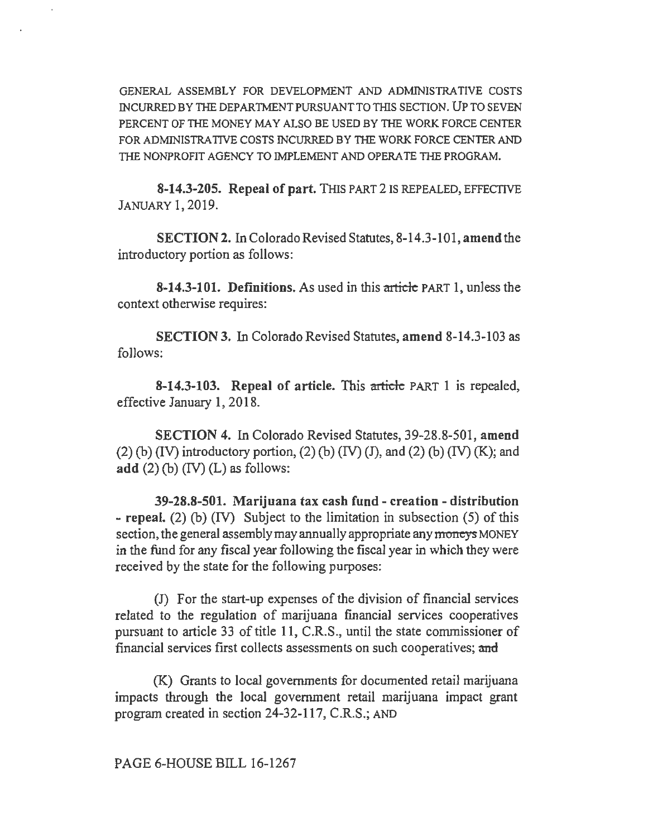GENERAL ASSEMBLY FOR DEVELOPMENT AND ADMINISTRATIVE COSTS INCURRED BY THE DEPARTMENT PURSUANT TO THIS SECTION. UP TO SEVEN PERCENT OF THE MONEY MAY ALSO BE USED BY THE WORK FORCE CENTER FOR ADMINISTRATIVE COSTS INCURRED BY THE WORK FORCE CENTER AND THE NONPROFIT AGENCY TO IMPLEMENT AND OPERA TE THE PROGRAM.

8-14.3-205. Repeal of part. THIS PART 2 IS REPEALED, EFFECTIVE JANUARY 1, 2019.

SECTION 2. In Colorado Revised Statutes, 8-14.3-101, amend the introductory portion as follows:

8-14.3-101. Definitions. As used in this article PART 1, unless the context otherwise requires:

SECTION 3. In Colorado Revised Statutes, amend 8-14.3-103 as follows:

8-14.3-103. Repeal of article. This article PART 1 is repealed, effective January 1, 2018.

SECTION 4. In Colorado Revised Statutes, 39-28.8-501, amend  $(2)$  (b) (IV) introductory portion,  $(2)$  (b) (IV) (J), and  $(2)$  (b) (IV) (K); and add  $(2)$  (b)  $(IV)$  (L) as follows:

39-28.8-501. Marijuana tax cash fund - creation - distribution - repeal. (2) (b) (IV) Subject to the limitation in subsection (5) of this section, the general assembly may annually appropriate any moneys MONEY in the fund for any fiscal year following the fiscal year in which they were received by the state for the following purposes:

(J) For the start-up expenses of the division of financial services related to the regulation of marijuana financial services cooperatives pursuant to article 33 of title 11, C.R.S., until the state commissioner of financial services first collects assessments on such cooperatives; and

(K) Grants to local governments for documented retail marijuana impacts through the local government retail marijuana impact grant program created in section 24-32-117, C.R.S.; AND

PAGE 6-HOUSE BILL 16-1267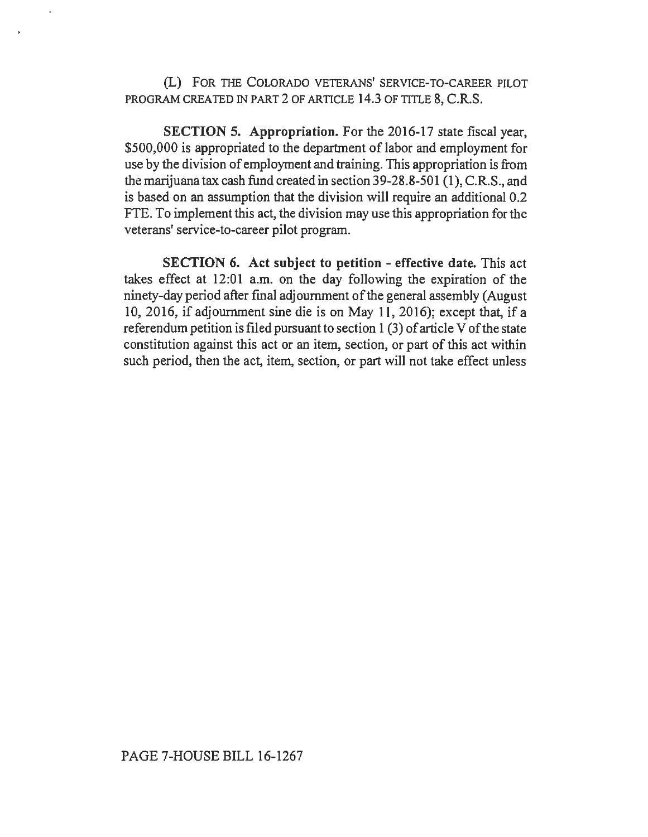(L) FOR THE COLORADO VETERANS' SERVICE-TO-CAREER PILOT PROGRAM CREATED IN PART 2 OF ARTICLE 14.3 OF TITLE 8, C.R.S.

SECTION 5. Appropriation. For the 2016-17 state fiscal year, \$500,000 is appropriated to the department of labor and employment for use by the division of employment and training. This appropriation is from the marijuana tax cash fund created in section 39-28.8-501 (1), C.R.S., and is based on an assumption that the division will require an additional 0.2 FTE. To implement this act, the division may use this appropriation for the veterans' service-to-career pilot program.

SECTION 6. Act subject to petition - effective date. This act takes effect at 12:01 a.m. on the day following the expiration of the ninety-day period after final adjournment of the general assembly (August 10, 2016, if adjournment sine die is on May 11, 2016); except that, if a referendum petition is filed pursuant to section 1 (3) of article V of the state constitution against this act or an item, section, or part of this act within such period, then the act, item, section, or part will not take effect unless